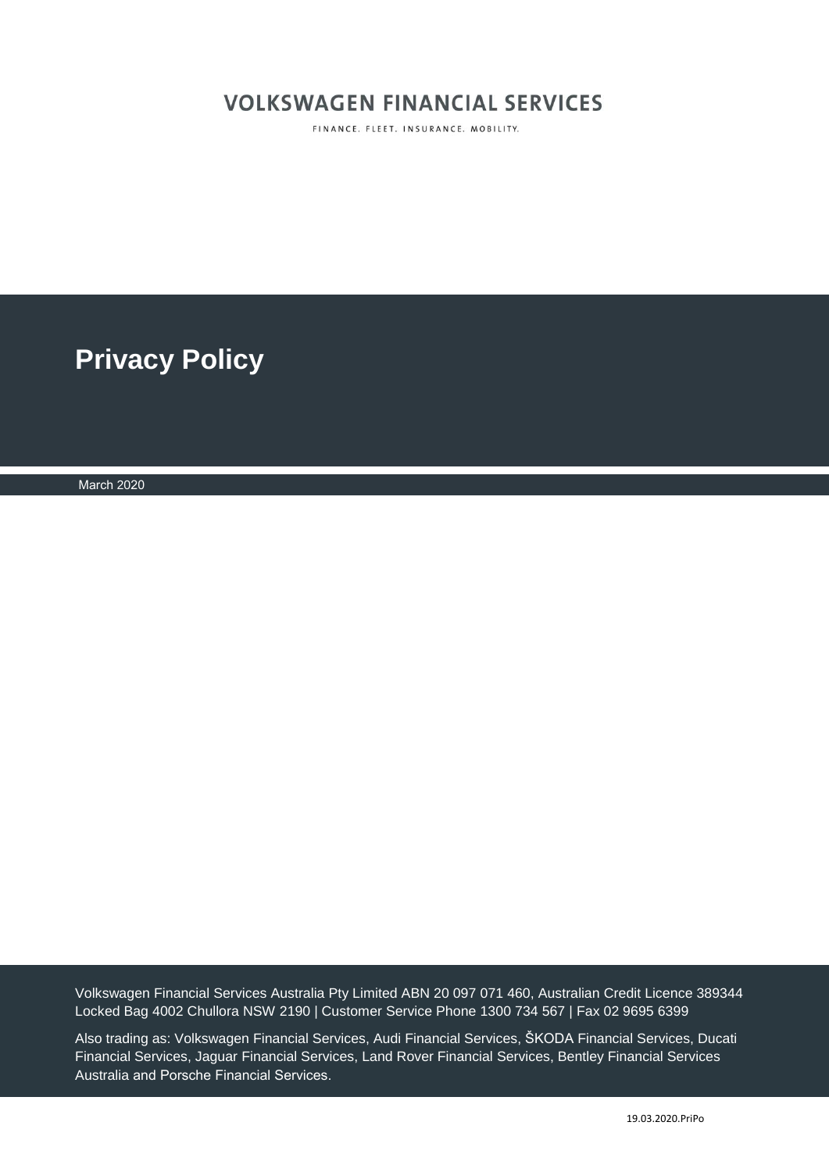# **VOLKSWAGEN FINANCIAL SERVICES**

FINANCE. FLEET. INSURANCE. MOBILITY.

**Privacy Policy** 

March 2020

Volkswagen Financial Services Australia Pty Limited ABN 20 097 071 460, Australian Credit Licence 389344 Locked Bag 4002 Chullora NSW 2190 | Customer Service Phone 1300 734 567 | Fax 02 9695 6399

Also trading as: Volkswagen Financial Services, Audi Financial Services, ŠKODA Financial Services, Ducati Financial Services, Jaguar Financial Services, Land Rover Financial Services, Bentley Financial Services Australia and Porsche Financial Services.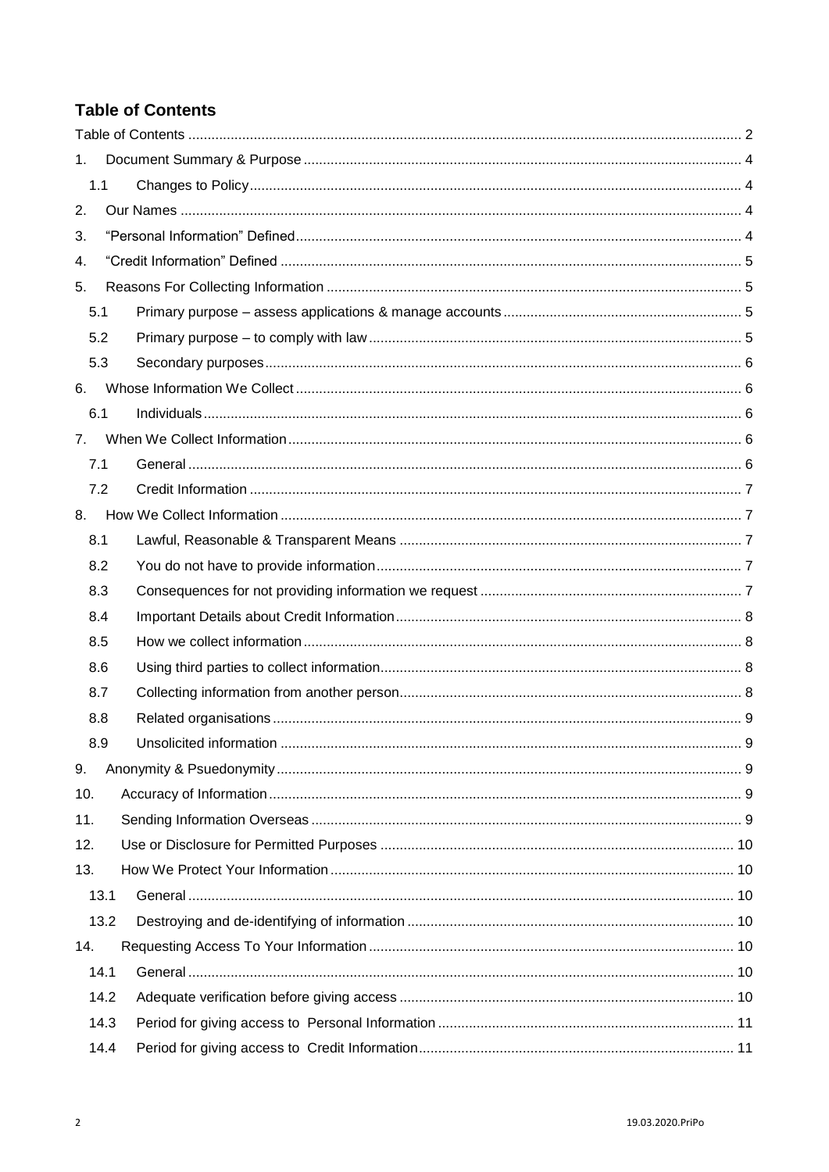# <span id="page-1-0"></span>**Table of Contents**

| 1.  |      |  |
|-----|------|--|
| 1.1 |      |  |
| 2.  |      |  |
| 3.  |      |  |
| 4.  |      |  |
| 5.  |      |  |
| 5.1 |      |  |
| 5.2 |      |  |
| 5.3 |      |  |
| 6.  |      |  |
| 6.1 |      |  |
| 7.  |      |  |
| 7.1 |      |  |
|     | 7.2  |  |
| 8.  |      |  |
| 8.1 |      |  |
| 8.2 |      |  |
| 8.3 |      |  |
| 8.4 |      |  |
| 8.5 |      |  |
| 8.6 |      |  |
| 8.7 |      |  |
| 8.8 |      |  |
| 8.9 |      |  |
| 9.  |      |  |
| 10. |      |  |
| 11. |      |  |
| 12. |      |  |
| 13. |      |  |
|     | 13.1 |  |
|     | 13.2 |  |
| 14. |      |  |
|     | 14.1 |  |
|     | 14.2 |  |
|     | 14.3 |  |
|     | 14.4 |  |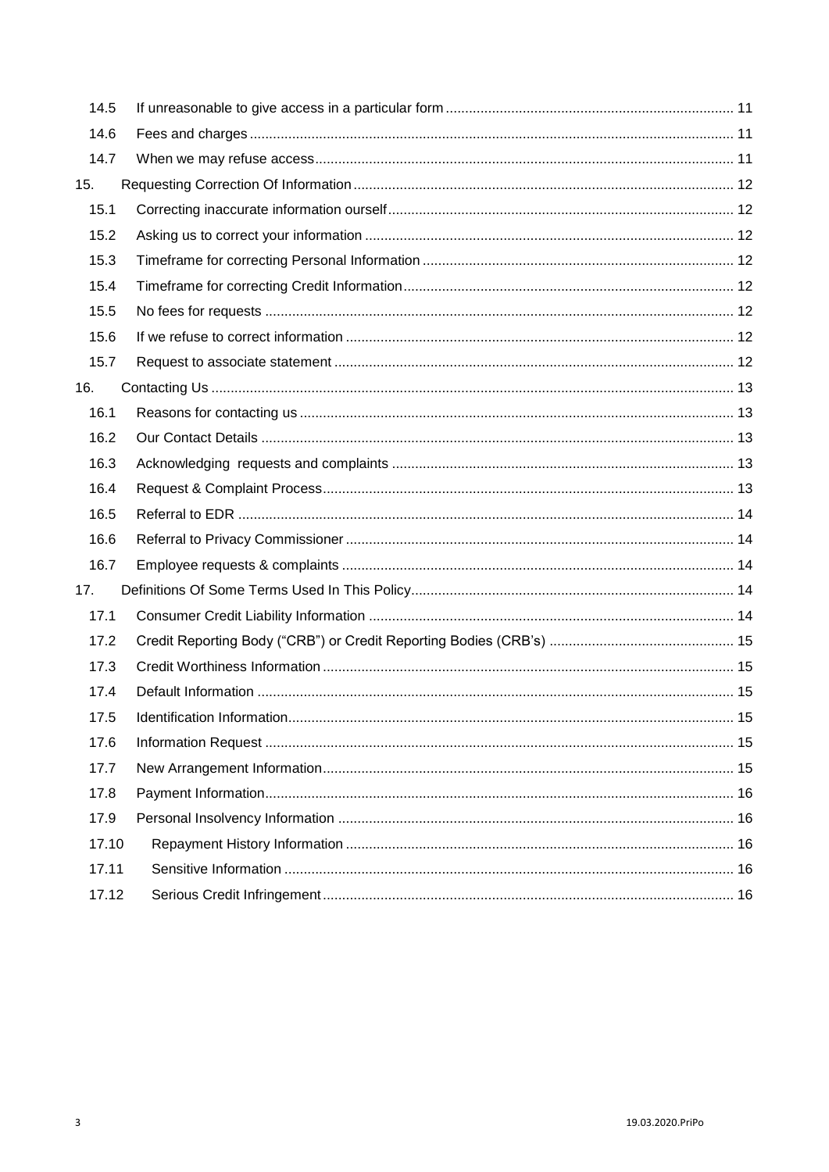| 14.5  |  |
|-------|--|
| 14.6  |  |
| 14.7  |  |
| 15.   |  |
| 15.1  |  |
| 15.2  |  |
| 15.3  |  |
| 15.4  |  |
| 15.5  |  |
| 15.6  |  |
| 15.7  |  |
| 16.   |  |
| 16.1  |  |
| 16.2  |  |
| 16.3  |  |
| 16.4  |  |
| 16.5  |  |
| 16.6  |  |
| 16.7  |  |
| 17.   |  |
| 17.1  |  |
| 17.2  |  |
| 17.3  |  |
| 17.4  |  |
| 17.5  |  |
| 17.6  |  |
| 17.7  |  |
| 17.8  |  |
| 17.9  |  |
| 17.10 |  |
| 17.11 |  |
| 17.12 |  |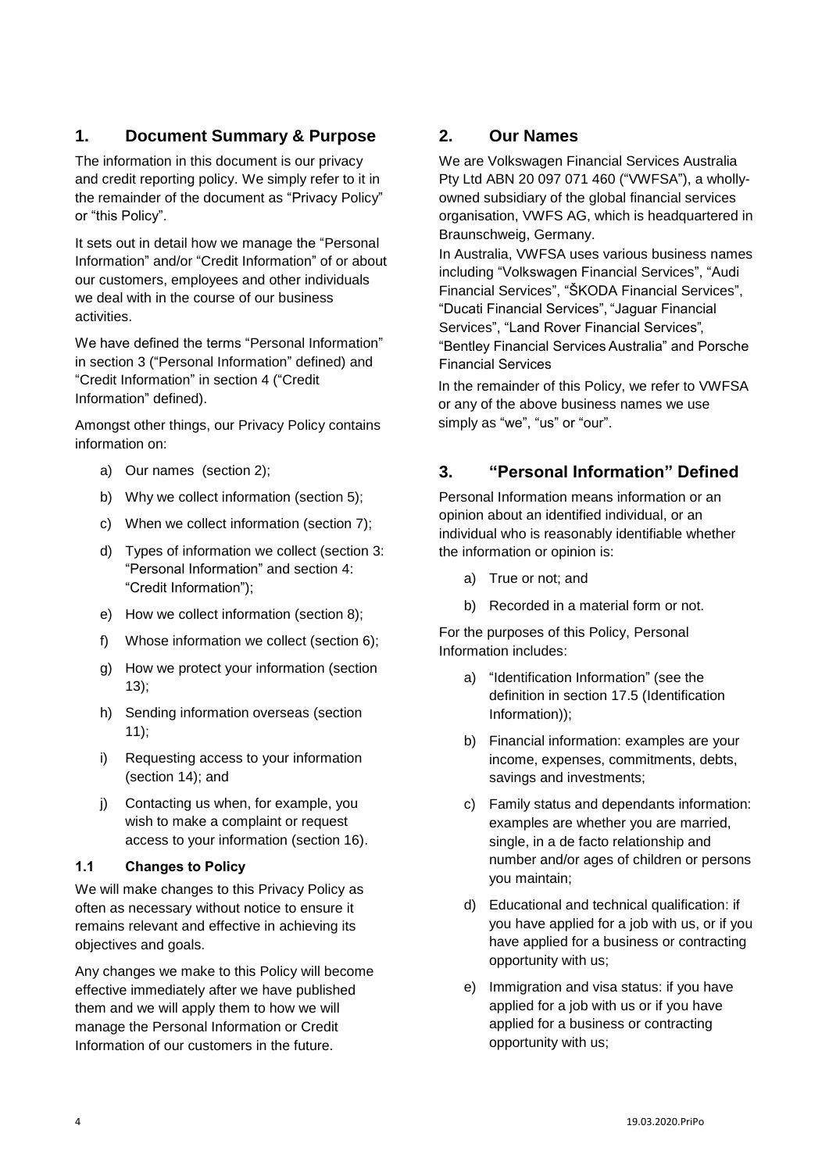# <span id="page-3-0"></span>**1. Document Summary & Purpose**

The information in this document is our privacy and credit reporting policy. We simply refer to it in the remainder of the document as "Privacy Policy" or "this Policy".

It sets out in detail how we manage the "Personal Information" and/or "Credit Information" of or about our customers, employees and other individuals we deal with in the course of our business activities.

We have defined the terms "Personal Information" in section 3 ("Personal Information" defined) and "Credit Information" in section 4 ("Credit Information" defined).

Amongst other things, our Privacy Policy contains information on:

- a) Our names (section 2);
- b) Why we collect information (section 5);
- c) When we collect information (section 7);
- d) Types of information we collect (section 3: "Personal Information" and section 4: "Credit Information");
- e) How we collect information (section 8);
- f) Whose information we collect (section 6);
- g) How we protect your information (section 13);
- h) Sending information overseas (section 11);
- i) Requesting access to your information (section 14); and
- j) Contacting us when, for example, you wish to make a complaint or request access to your information (section 16).

#### <span id="page-3-1"></span>**1.1 Changes to Policy**

We will make changes to this Privacy Policy as often as necessary without notice to ensure it remains relevant and effective in achieving its objectives and goals.

Any changes we make to this Policy will become effective immediately after we have published them and we will apply them to how we will manage the Personal Information or Credit Information of our customers in the future.

### <span id="page-3-2"></span>**2. Our Names**

We are Volkswagen Financial Services Australia Pty Ltd ABN 20 097 071 460 ("VWFSA"), a whollyowned subsidiary of the global financial services organisation, VWFS AG, which is headquartered in Braunschweig, Germany.

In Australia, VWFSA uses various business names including "Volkswagen Financial Services", "Audi Financial Services", "ŠKODA Financial Services", "Ducati Financial Services", "Jaguar Financial Services", "Land Rover Financial Services", "Bentley Financial Services Australia" and Porsche Financial Services

In the remainder of this Policy, we refer to VWFSA or any of the above business names we use simply as "we", "us" or "our".

# <span id="page-3-3"></span>**3. "Personal Information" Defined**

Personal Information means information or an opinion about an identified individual, or an individual who is reasonably identifiable whether the information or opinion is:

- a) True or not; and
- b) Recorded in a material form or not.

For the purposes of this Policy, Personal Information includes:

- a) "Identification Information" (see the definition in section 17.5 (Identification Information));
- b) Financial information: examples are your income, expenses, commitments, debts, savings and investments;
- c) Family status and dependants information: examples are whether you are married, single, in a de facto relationship and number and/or ages of children or persons you maintain;
- d) Educational and technical qualification: if you have applied for a job with us, or if you have applied for a business or contracting opportunity with us;
- e) Immigration and visa status: if you have applied for a job with us or if you have applied for a business or contracting opportunity with us;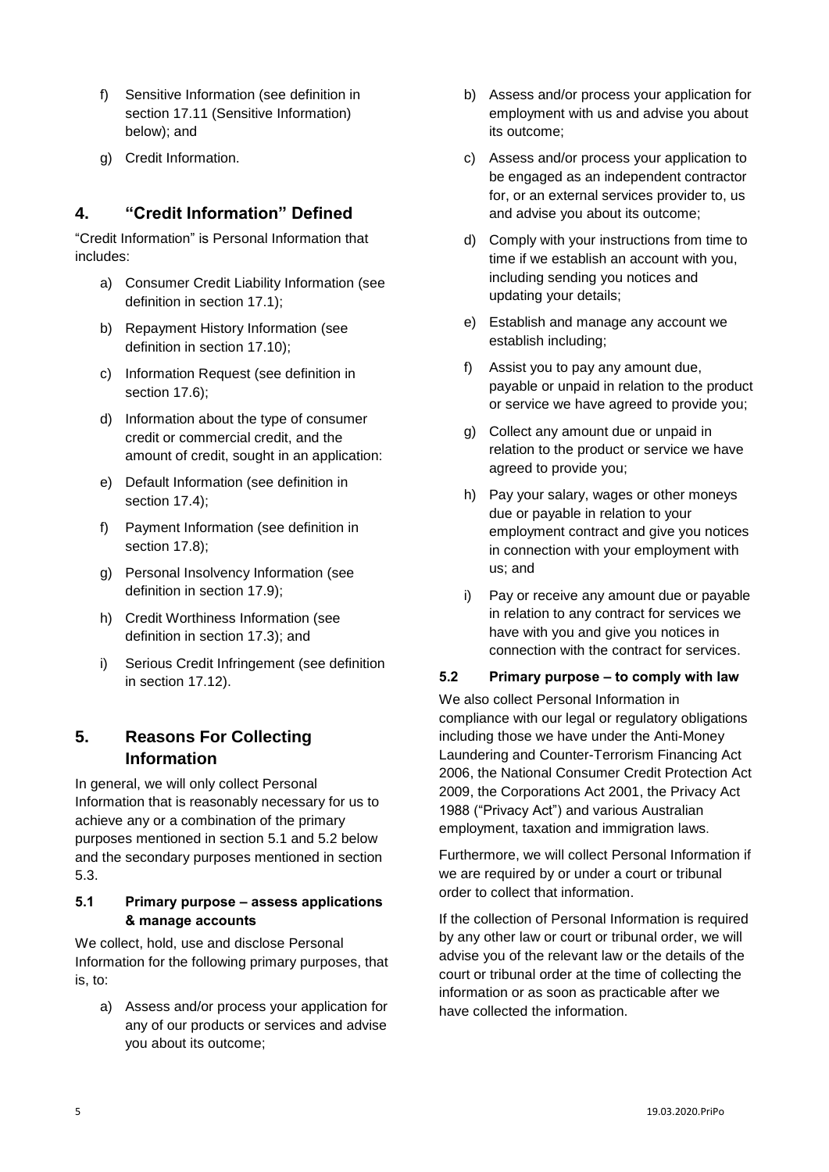- f) Sensitive Information (see definition in section 17.11 (Sensitive Information) below); and
- g) Credit Information.

## <span id="page-4-0"></span>**4. "Credit Information" Defined**

"Credit Information" is Personal Information that includes:

- a) Consumer Credit Liability Information (see definition in section 17.1);
- b) Repayment History Information (see definition in section 17.10);
- c) Information Request (see definition in section 17.6):
- d) Information about the type of consumer credit or commercial credit, and the amount of credit, sought in an application:
- e) Default Information (see definition in section 17.4);
- f) Payment Information (see definition in section 17.8);
- g) Personal Insolvency Information (see definition in section 17.9);
- h) Credit Worthiness Information (see definition in section 17.3); and
- i) Serious Credit Infringement (see definition in section 17.12).

# <span id="page-4-1"></span>**5. Reasons For Collecting Information**

In general, we will only collect Personal Information that is reasonably necessary for us to achieve any or a combination of the primary purposes mentioned in section 5.1 and 5.2 below and the secondary purposes mentioned in section 5.3.

### <span id="page-4-2"></span>**5.1 Primary purpose – assess applications & manage accounts**

We collect, hold, use and disclose Personal Information for the following primary purposes, that is, to:

a) Assess and/or process your application for any of our products or services and advise you about its outcome;

- b) Assess and/or process your application for employment with us and advise you about its outcome;
- c) Assess and/or process your application to be engaged as an independent contractor for, or an external services provider to, us and advise you about its outcome;
- d) Comply with your instructions from time to time if we establish an account with you, including sending you notices and updating your details;
- e) Establish and manage any account we establish including;
- f) Assist you to pay any amount due, payable or unpaid in relation to the product or service we have agreed to provide you;
- g) Collect any amount due or unpaid in relation to the product or service we have agreed to provide you;
- h) Pay your salary, wages or other moneys due or payable in relation to your employment contract and give you notices in connection with your employment with us; and
- i) Pay or receive any amount due or payable in relation to any contract for services we have with you and give you notices in connection with the contract for services.

### <span id="page-4-3"></span>**5.2 Primary purpose – to comply with law**

We also collect Personal Information in compliance with our legal or regulatory obligations including those we have under the Anti-Money Laundering and Counter-Terrorism Financing Act 2006, the National Consumer Credit Protection Act 2009, the Corporations Act 2001, the Privacy Act 1988 ("Privacy Act") and various Australian employment, taxation and immigration laws.

Furthermore, we will collect Personal Information if we are required by or under a court or tribunal order to collect that information.

If the collection of Personal Information is required by any other law or court or tribunal order, we will advise you of the relevant law or the details of the court or tribunal order at the time of collecting the information or as soon as practicable after we have collected the information.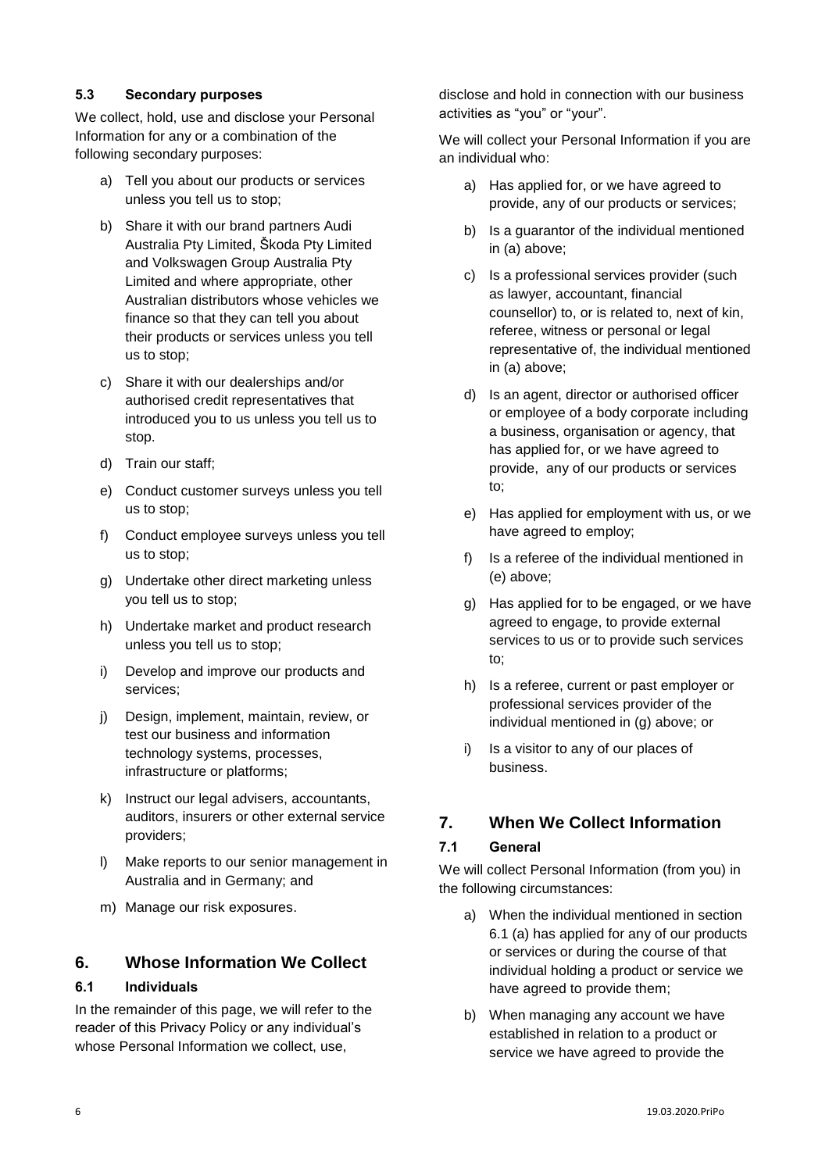### <span id="page-5-0"></span>**5.3 Secondary purposes**

We collect, hold, use and disclose your Personal Information for any or a combination of the following secondary purposes:

- a) Tell you about our products or services unless you tell us to stop;
- b) Share it with our brand partners Audi Australia Pty Limited, Škoda Pty Limited and Volkswagen Group Australia Pty Limited and where appropriate, other Australian distributors whose vehicles we finance so that they can tell you about their products or services unless you tell us to stop;
- c) Share it with our dealerships and/or authorised credit representatives that introduced you to us unless you tell us to stop.
- d) Train our staff;
- e) Conduct customer surveys unless you tell us to stop;
- f) Conduct employee surveys unless you tell us to stop;
- g) Undertake other direct marketing unless you tell us to stop;
- h) Undertake market and product research unless you tell us to stop;
- i) Develop and improve our products and services;
- j) Design, implement, maintain, review, or test our business and information technology systems, processes, infrastructure or platforms;
- k) Instruct our legal advisers, accountants, auditors, insurers or other external service providers;
- l) Make reports to our senior management in Australia and in Germany; and
- m) Manage our risk exposures.

### <span id="page-5-1"></span>**6. Whose Information We Collect**

#### <span id="page-5-2"></span>**6.1 Individuals**

In the remainder of this page, we will refer to the reader of this Privacy Policy or any individual's whose Personal Information we collect, use,

disclose and hold in connection with our business activities as "you" or "your".

We will collect your Personal Information if you are an individual who:

- a) Has applied for, or we have agreed to provide, any of our products or services;
- b) Is a guarantor of the individual mentioned in (a) above;
- c) Is a professional services provider (such as lawyer, accountant, financial counsellor) to, or is related to, next of kin, referee, witness or personal or legal representative of, the individual mentioned in (a) above;
- d) Is an agent, director or authorised officer or employee of a body corporate including a business, organisation or agency, that has applied for, or we have agreed to provide, any of our products or services to;
- e) Has applied for employment with us, or we have agreed to employ;
- f) Is a referee of the individual mentioned in (e) above;
- g) Has applied for to be engaged, or we have agreed to engage, to provide external services to us or to provide such services to;
- h) Is a referee, current or past employer or professional services provider of the individual mentioned in (g) above; or
- i) Is a visitor to any of our places of business.

# <span id="page-5-3"></span>**7. When We Collect Information**

#### <span id="page-5-4"></span>**7.1 General**

We will collect Personal Information (from you) in the following circumstances:

- a) When the individual mentioned in section 6.1 (a) has applied for any of our products or services or during the course of that individual holding a product or service we have agreed to provide them;
- b) When managing any account we have established in relation to a product or service we have agreed to provide the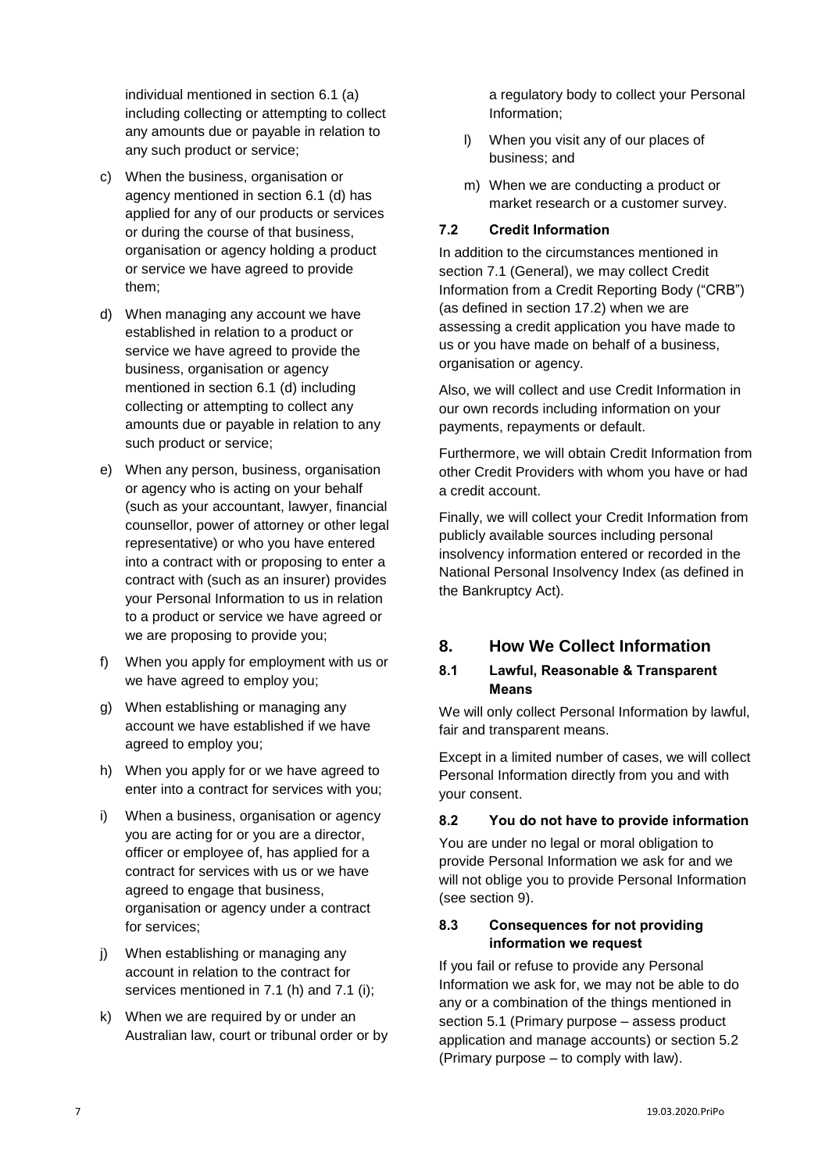individual mentioned in section 6.1 (a) including collecting or attempting to collect any amounts due or payable in relation to any such product or service;

- c) When the business, organisation or agency mentioned in section 6.1 (d) has applied for any of our products or services or during the course of that business, organisation or agency holding a product or service we have agreed to provide them;
- d) When managing any account we have established in relation to a product or service we have agreed to provide the business, organisation or agency mentioned in section 6.1 (d) including collecting or attempting to collect any amounts due or payable in relation to any such product or service;
- e) When any person, business, organisation or agency who is acting on your behalf (such as your accountant, lawyer, financial counsellor, power of attorney or other legal representative) or who you have entered into a contract with or proposing to enter a contract with (such as an insurer) provides your Personal Information to us in relation to a product or service we have agreed or we are proposing to provide you;
- f) When you apply for employment with us or we have agreed to employ you;
- g) When establishing or managing any account we have established if we have agreed to employ you;
- h) When you apply for or we have agreed to enter into a contract for services with you;
- i) When a business, organisation or agency you are acting for or you are a director, officer or employee of, has applied for a contract for services with us or we have agreed to engage that business, organisation or agency under a contract for services;
- j) When establishing or managing any account in relation to the contract for services mentioned in 7.1 (h) and 7.1 (i);
- k) When we are required by or under an Australian law, court or tribunal order or by

a regulatory body to collect your Personal Information;

- l) When you visit any of our places of business; and
- m) When we are conducting a product or market research or a customer survey.

### <span id="page-6-0"></span>**7.2 Credit Information**

In addition to the circumstances mentioned in section 7.1 (General), we may collect Credit Information from a Credit Reporting Body ("CRB") (as defined in section 17.2) when we are assessing a credit application you have made to us or you have made on behalf of a business, organisation or agency.

Also, we will collect and use Credit Information in our own records including information on your payments, repayments or default.

Furthermore, we will obtain Credit Information from other Credit Providers with whom you have or had a credit account.

Finally, we will collect your Credit Information from publicly available sources including personal insolvency information entered or recorded in the National Personal Insolvency Index (as defined in the Bankruptcy Act).

### <span id="page-6-1"></span>**8. How We Collect Information**

#### <span id="page-6-2"></span>**8.1 Lawful, Reasonable & Transparent Means**

We will only collect Personal Information by lawful, fair and transparent means.

Except in a limited number of cases, we will collect Personal Information directly from you and with your consent.

#### <span id="page-6-3"></span>**8.2 You do not have to provide information**

You are under no legal or moral obligation to provide Personal Information we ask for and we will not oblige you to provide Personal Information (see section 9).

### <span id="page-6-4"></span>**8.3 Consequences for not providing information we request**

If you fail or refuse to provide any Personal Information we ask for, we may not be able to do any or a combination of the things mentioned in section 5.1 (Primary purpose – assess product application and manage accounts) or section 5.2 (Primary purpose – to comply with law).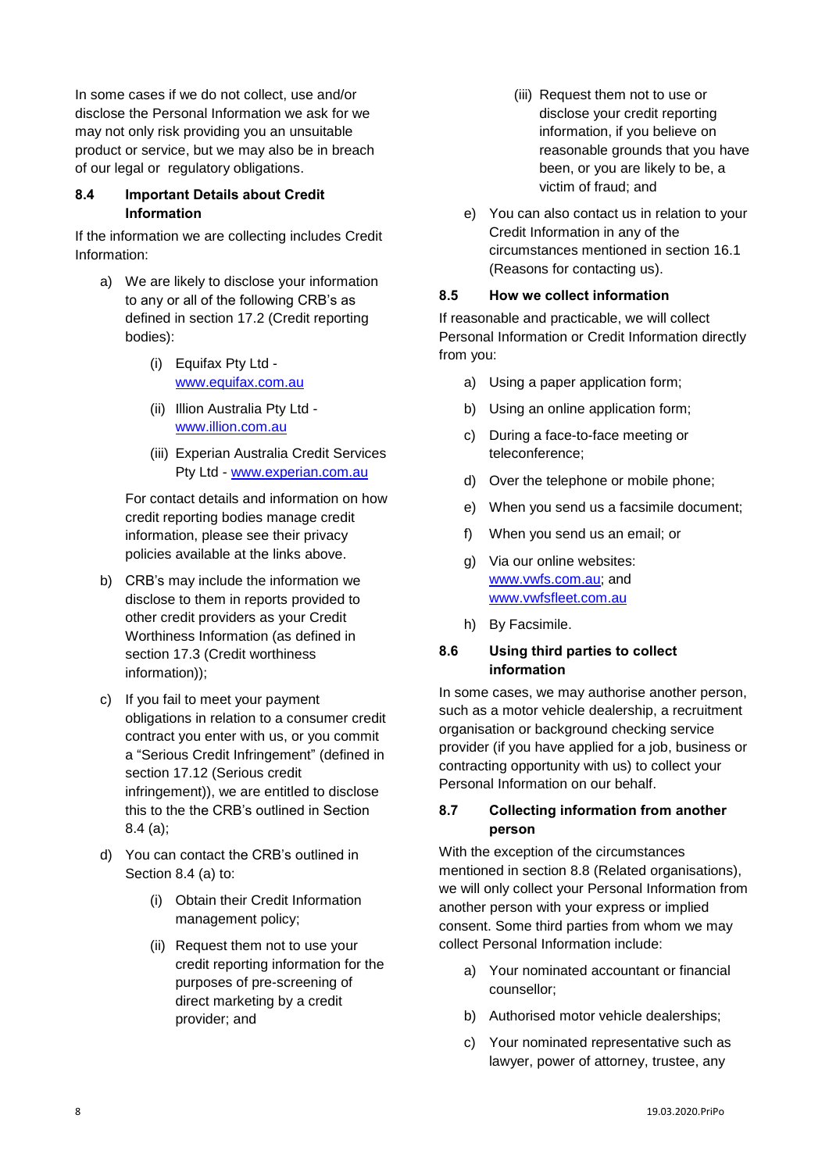In some cases if we do not collect, use and/or disclose the Personal Information we ask for we may not only risk providing you an unsuitable product or service, but we may also be in breach of our legal or regulatory obligations.

#### <span id="page-7-0"></span>**8.4 Important Details about Credit Information**

If the information we are collecting includes Credit Information:

- a) We are likely to disclose your information to any or all of the following CRB's as defined in section 17.2 (Credit reporting bodies):
	- (i) Equifax Pty Ltd [www.equifax.com.au](http://www.equifax.com.au/)
	- (ii) Illion Australia Pty Ltd [www.illion.com.au](http://www.illion.com.au/)
	- (iii) Experian Australia Credit Services Pty Ltd - [www.experian.com.au](http://www.experian.com.au/)

For contact details and information on how credit reporting bodies manage credit information, please see their privacy policies available at the links above.

- b) CRB's may include the information we disclose to them in reports provided to other credit providers as your Credit Worthiness Information (as defined in section 17.3 (Credit worthiness information));
- c) If you fail to meet your payment obligations in relation to a consumer credit contract you enter with us, or you commit a "Serious Credit Infringement" (defined in section 17.12 (Serious credit infringement)), we are entitled to disclose this to the the CRB's outlined in Section 8.4 (a);
- d) You can contact the CRB's outlined in Section 8.4 (a) to:
	- (i) Obtain their Credit Information management policy;
	- (ii) Request them not to use your credit reporting information for the purposes of pre-screening of direct marketing by a credit provider; and
- (iii) Request them not to use or disclose your credit reporting information, if you believe on reasonable grounds that you have been, or you are likely to be, a victim of fraud; and
- e) You can also contact us in relation to your Credit Information in any of the circumstances mentioned in section 16.1 (Reasons for contacting us).

#### <span id="page-7-1"></span>**8.5 How we collect information**

If reasonable and practicable, we will collect Personal Information or Credit Information directly from you:

- a) Using a paper application form;
- b) Using an online application form;
- c) During a face-to-face meeting or teleconference;
- d) Over the telephone or mobile phone;
- e) When you send us a facsimile document;
- f) When you send us an email; or
- g) Via our online websites: [www.vwfs.com.au;](http://www.vwfs.com.au/) and [www.vwfsfleet.com.au](http://www.vwfsfleet.com.au/)
- h) By Facsimile.

#### <span id="page-7-2"></span>**8.6 Using third parties to collect information**

In some cases, we may authorise another person, such as a motor vehicle dealership, a recruitment organisation or background checking service provider (if you have applied for a job, business or contracting opportunity with us) to collect your Personal Information on our behalf.

#### <span id="page-7-3"></span>**8.7 Collecting information from another person**

With the exception of the circumstances mentioned in section 8.8 (Related organisations), we will only collect your Personal Information from another person with your express or implied consent. Some third parties from whom we may collect Personal Information include:

- a) Your nominated accountant or financial counsellor;
- b) Authorised motor vehicle dealerships;
- c) Your nominated representative such as lawyer, power of attorney, trustee, any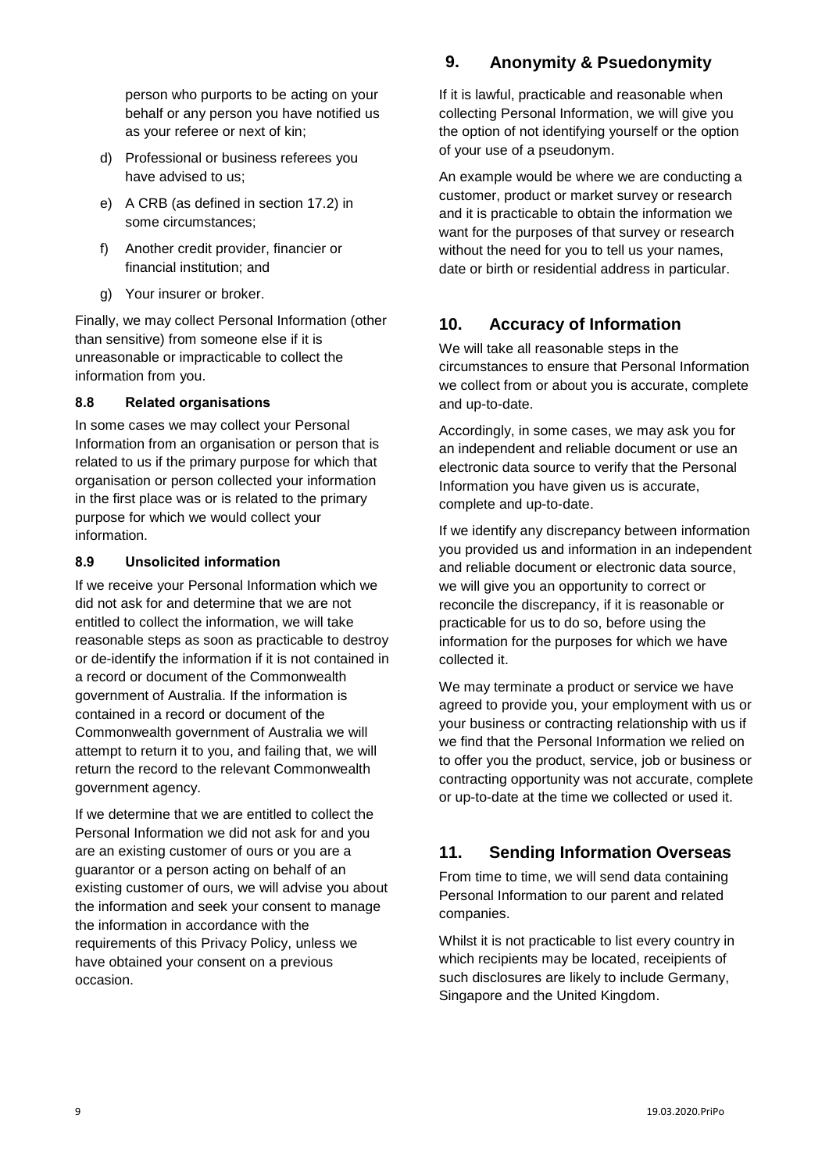person who purports to be acting on your behalf or any person you have notified us as your referee or next of kin;

- d) Professional or business referees you have advised to us;
- e) A CRB (as defined in section 17.2) in some circumstances;
- f) Another credit provider, financier or financial institution; and
- g) Your insurer or broker.

Finally, we may collect Personal Information (other than sensitive) from someone else if it is unreasonable or impracticable to collect the information from you.

#### <span id="page-8-0"></span>**8.8 Related organisations**

In some cases we may collect your Personal Information from an organisation or person that is related to us if the primary purpose for which that organisation or person collected your information in the first place was or is related to the primary purpose for which we would collect your information.

#### <span id="page-8-1"></span>**8.9 Unsolicited information**

If we receive your Personal Information which we did not ask for and determine that we are not entitled to collect the information, we will take reasonable steps as soon as practicable to destroy or de-identify the information if it is not contained in a record or document of the Commonwealth government of Australia. If the information is contained in a record or document of the Commonwealth government of Australia we will attempt to return it to you, and failing that, we will return the record to the relevant Commonwealth government agency.

<span id="page-8-2"></span>If we determine that we are entitled to collect the Personal Information we did not ask for and you are an existing customer of ours or you are a guarantor or a person acting on behalf of an existing customer of ours, we will advise you about the information and seek your consent to manage the information in accordance with the requirements of this Privacy Policy, unless we have obtained your consent on a previous occasion.

# **9. Anonymity & Psuedonymity**

If it is lawful, practicable and reasonable when collecting Personal Information, we will give you the option of not identifying yourself or the option of your use of a pseudonym.

An example would be where we are conducting a customer, product or market survey or research and it is practicable to obtain the information we want for the purposes of that survey or research without the need for you to tell us your names, date or birth or residential address in particular.

# <span id="page-8-3"></span>**10. Accuracy of Information**

We will take all reasonable steps in the circumstances to ensure that Personal Information we collect from or about you is accurate, complete and up-to-date.

Accordingly, in some cases, we may ask you for an independent and reliable document or use an electronic data source to verify that the Personal Information you have given us is accurate, complete and up-to-date.

If we identify any discrepancy between information you provided us and information in an independent and reliable document or electronic data source, we will give you an opportunity to correct or reconcile the discrepancy, if it is reasonable or practicable for us to do so, before using the information for the purposes for which we have collected it.

We may terminate a product or service we have agreed to provide you, your employment with us or your business or contracting relationship with us if we find that the Personal Information we relied on to offer you the product, service, job or business or contracting opportunity was not accurate, complete or up-to-date at the time we collected or used it.

# <span id="page-8-4"></span>**11. Sending Information Overseas**

From time to time, we will send data containing Personal Information to our parent and related companies.

Whilst it is not practicable to list every country in which recipients may be located, receipients of such disclosures are likely to include Germany, Singapore and the United Kingdom.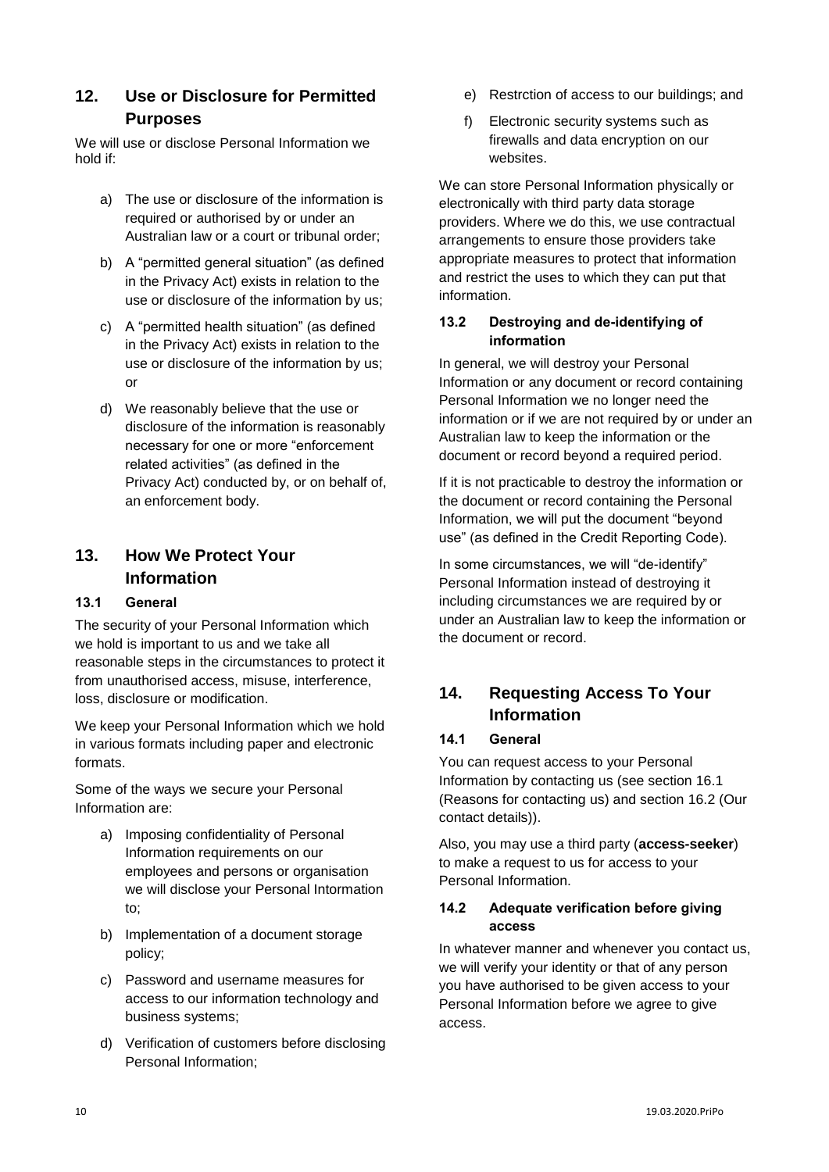### <span id="page-9-0"></span>**12. Use or Disclosure for Permitted Purposes**

We will use or disclose Personal Information we hold if:

- a) The use or disclosure of the information is required or authorised by or under an Australian law or a court or tribunal order;
- b) A "permitted general situation" (as defined in the Privacy Act) exists in relation to the use or disclosure of the information by us;
- c) A "permitted health situation" (as defined in the Privacy Act) exists in relation to the use or disclosure of the information by us; or
- d) We reasonably believe that the use or disclosure of the information is reasonably necessary for one or more "enforcement related activities" (as defined in the Privacy Act) conducted by, or on behalf of, an enforcement body.

# <span id="page-9-1"></span>**13. How We Protect Your Information**

### <span id="page-9-2"></span>**13.1 General**

The security of your Personal Information which we hold is important to us and we take all reasonable steps in the circumstances to protect it from unauthorised access, misuse, interference, loss, disclosure or modification.

We keep your Personal Information which we hold in various formats including paper and electronic formats.

Some of the ways we secure your Personal Information are:

- a) Imposing confidentiality of Personal Information requirements on our employees and persons or organisation we will disclose your Personal Intormation to;
- b) Implementation of a document storage policy;
- c) Password and username measures for access to our information technology and business systems;
- d) Verification of customers before disclosing Personal Information;
- e) Restrction of access to our buildings; and
- f) Electronic security systems such as firewalls and data encryption on our websites.

We can store Personal Information physically or electronically with third party data storage providers. Where we do this, we use contractual arrangements to ensure those providers take appropriate measures to protect that information and restrict the uses to which they can put that information.

### <span id="page-9-3"></span>**13.2 Destroying and de-identifying of information**

In general, we will destroy your Personal Information or any document or record containing Personal Information we no longer need the information or if we are not required by or under an Australian law to keep the information or the document or record beyond a required period.

If it is not practicable to destroy the information or the document or record containing the Personal Information, we will put the document "beyond use" (as defined in the Credit Reporting Code).

In some circumstances, we will "de-identify" Personal Information instead of destroying it including circumstances we are required by or under an Australian law to keep the information or the document or record.

# <span id="page-9-4"></span>**14. Requesting Access To Your Information**

#### <span id="page-9-5"></span>**14.1 General**

You can request access to your Personal Information by contacting us (see section 16.1 (Reasons for contacting us) and section 16.2 (Our contact details)).

Also, you may use a third party (**access-seeker**) to make a request to us for access to your Personal Information.

#### <span id="page-9-6"></span>**14.2 Adequate verification before giving access**

In whatever manner and whenever you contact us, we will verify your identity or that of any person you have authorised to be given access to your Personal Information before we agree to give access.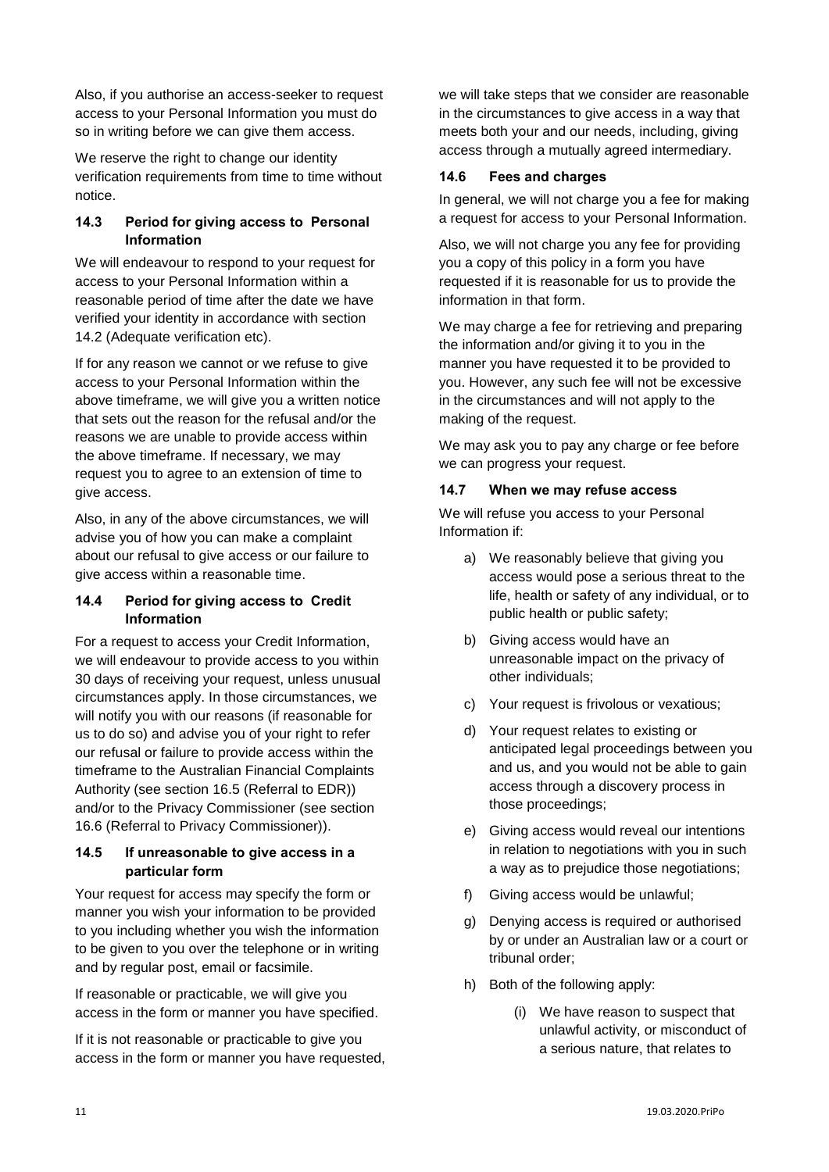Also, if you authorise an access-seeker to request access to your Personal Information you must do so in writing before we can give them access.

We reserve the right to change our identity verification requirements from time to time without notice.

### <span id="page-10-0"></span>**14.3 Period for giving access to Personal Information**

We will endeavour to respond to your request for access to your Personal Information within a reasonable period of time after the date we have verified your identity in accordance with section 14.2 (Adequate verification etc).

If for any reason we cannot or we refuse to give access to your Personal Information within the above timeframe, we will give you a written notice that sets out the reason for the refusal and/or the reasons we are unable to provide access within the above timeframe. If necessary, we may request you to agree to an extension of time to give access.

Also, in any of the above circumstances, we will advise you of how you can make a complaint about our refusal to give access or our failure to give access within a reasonable time.

### <span id="page-10-1"></span>**14.4 Period for giving access to Credit Information**

For a request to access your Credit Information, we will endeavour to provide access to you within 30 days of receiving your request, unless unusual circumstances apply. In those circumstances, we will notify you with our reasons (if reasonable for us to do so) and advise you of your right to refer our refusal or failure to provide access within the timeframe to the Australian Financial Complaints Authority (see section 16.5 (Referral to EDR)) and/or to the Privacy Commissioner (see section 16.6 (Referral to Privacy Commissioner)).

#### <span id="page-10-2"></span>**14.5 If unreasonable to give access in a particular form**

Your request for access may specify the form or manner you wish your information to be provided to you including whether you wish the information to be given to you over the telephone or in writing and by regular post, email or facsimile.

If reasonable or practicable, we will give you access in the form or manner you have specified.

If it is not reasonable or practicable to give you access in the form or manner you have requested, we will take steps that we consider are reasonable in the circumstances to give access in a way that meets both your and our needs, including, giving access through a mutually agreed intermediary.

#### <span id="page-10-3"></span>**14.6 Fees and charges**

In general, we will not charge you a fee for making a request for access to your Personal Information.

Also, we will not charge you any fee for providing you a copy of this policy in a form you have requested if it is reasonable for us to provide the information in that form.

We may charge a fee for retrieving and preparing the information and/or giving it to you in the manner you have requested it to be provided to you. However, any such fee will not be excessive in the circumstances and will not apply to the making of the request.

We may ask you to pay any charge or fee before we can progress your request.

#### <span id="page-10-4"></span>**14.7 When we may refuse access**

We will refuse you access to your Personal Information if:

- a) We reasonably believe that giving you access would pose a serious threat to the life, health or safety of any individual, or to public health or public safety;
- b) Giving access would have an unreasonable impact on the privacy of other individuals;
- c) Your request is frivolous or vexatious;
- d) Your request relates to existing or anticipated legal proceedings between you and us, and you would not be able to gain access through a discovery process in those proceedings;
- e) Giving access would reveal our intentions in relation to negotiations with you in such a way as to prejudice those negotiations;
- f) Giving access would be unlawful;
- g) Denying access is required or authorised by or under an Australian law or a court or tribunal order;
- h) Both of the following apply:
	- (i) We have reason to suspect that unlawful activity, or misconduct of a serious nature, that relates to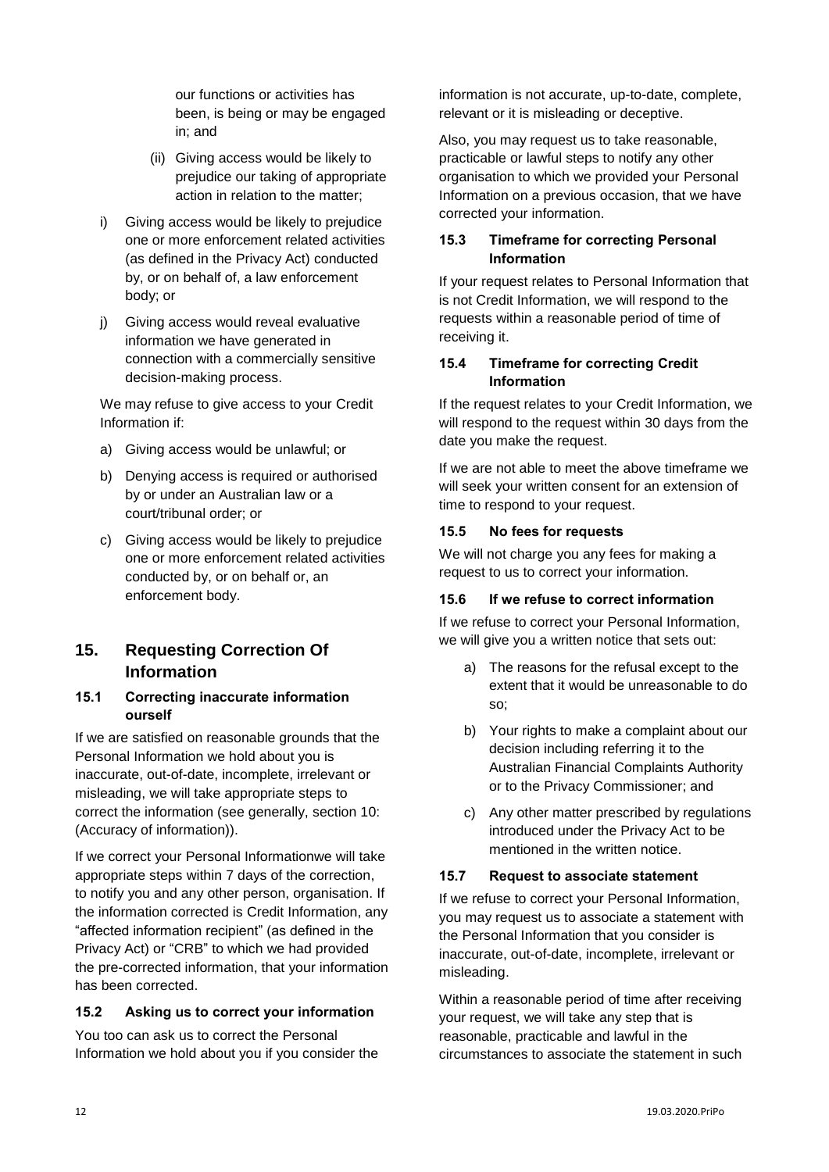our functions or activities has been, is being or may be engaged in; and

- (ii) Giving access would be likely to prejudice our taking of appropriate action in relation to the matter;
- i) Giving access would be likely to prejudice one or more enforcement related activities (as defined in the Privacy Act) conducted by, or on behalf of, a law enforcement body; or
- j) Giving access would reveal evaluative information we have generated in connection with a commercially sensitive decision-making process.

We may refuse to give access to your Credit Information if:

- a) Giving access would be unlawful; or
- b) Denying access is required or authorised by or under an Australian law or a court/tribunal order; or
- c) Giving access would be likely to prejudice one or more enforcement related activities conducted by, or on behalf or, an enforcement body.

# <span id="page-11-0"></span>**15. Requesting Correction Of Information**

#### <span id="page-11-1"></span>**15.1 Correcting inaccurate information ourself**

If we are satisfied on reasonable grounds that the Personal Information we hold about you is inaccurate, out-of-date, incomplete, irrelevant or misleading, we will take appropriate steps to correct the information (see generally, section 10: (Accuracy of information)).

If we correct your Personal Informationwe will take appropriate steps within 7 days of the correction, to notify you and any other person, organisation. If the information corrected is Credit Information, any "affected information recipient" (as defined in the Privacy Act) or "CRB" to which we had provided the pre-corrected information, that your information has been corrected.

### <span id="page-11-2"></span>**15.2 Asking us to correct your information**

You too can ask us to correct the Personal Information we hold about you if you consider the information is not accurate, up-to-date, complete, relevant or it is misleading or deceptive.

Also, you may request us to take reasonable, practicable or lawful steps to notify any other organisation to which we provided your Personal Information on a previous occasion, that we have corrected your information.

### <span id="page-11-3"></span>**15.3 Timeframe for correcting Personal Information**

If your request relates to Personal Information that is not Credit Information, we will respond to the requests within a reasonable period of time of receiving it.

#### <span id="page-11-4"></span>**15.4 Timeframe for correcting Credit Information**

If the request relates to your Credit Information, we will respond to the request within 30 days from the date you make the request.

If we are not able to meet the above timeframe we will seek your written consent for an extension of time to respond to your request.

### <span id="page-11-5"></span>**15.5 No fees for requests**

We will not charge you any fees for making a request to us to correct your information.

### <span id="page-11-6"></span>**15.6 If we refuse to correct information**

If we refuse to correct your Personal Information, we will give you a written notice that sets out:

- a) The reasons for the refusal except to the extent that it would be unreasonable to do so;
- b) Your rights to make a complaint about our decision including referring it to the Australian Financial Complaints Authority or to the Privacy Commissioner; and
- c) Any other matter prescribed by regulations introduced under the Privacy Act to be mentioned in the written notice.

### <span id="page-11-7"></span>**15.7 Request to associate statement**

If we refuse to correct your Personal Information, you may request us to associate a statement with the Personal Information that you consider is inaccurate, out-of-date, incomplete, irrelevant or misleading.

Within a reasonable period of time after receiving your request, we will take any step that is reasonable, practicable and lawful in the circumstances to associate the statement in such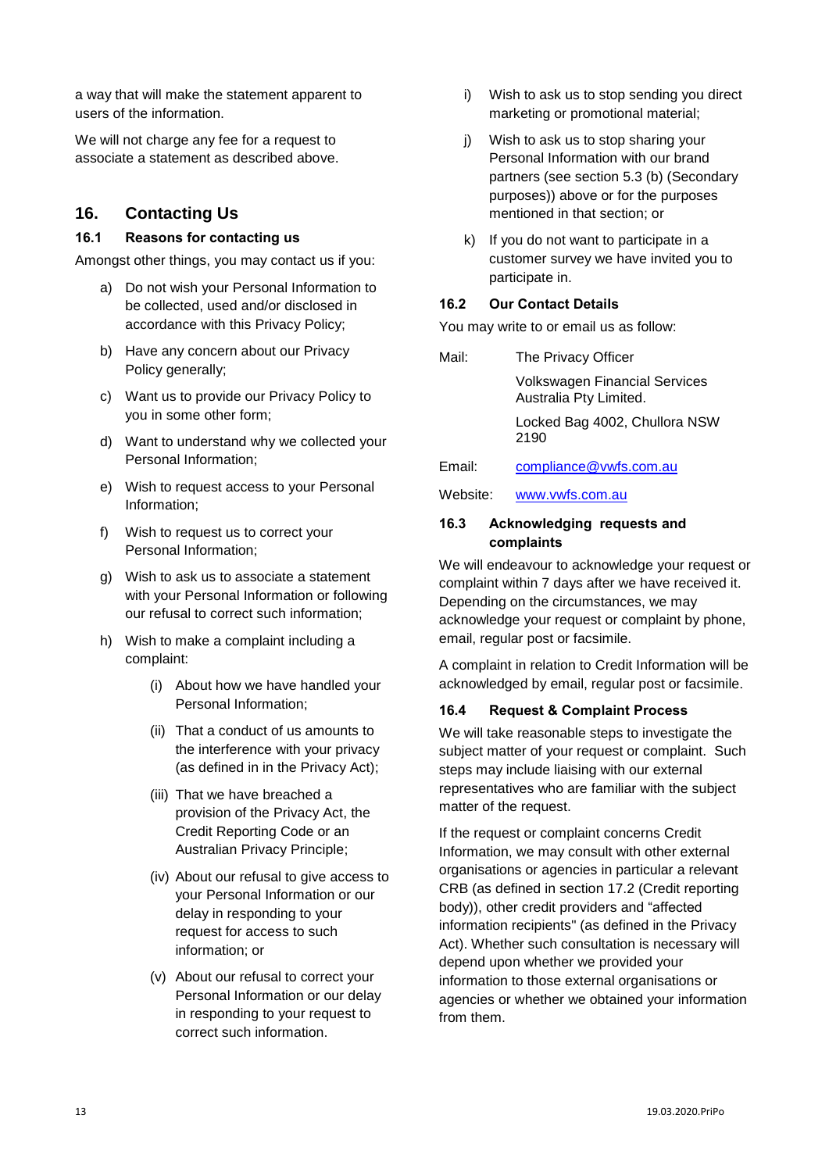a way that will make the statement apparent to users of the information.

We will not charge any fee for a request to associate a statement as described above.

### <span id="page-12-0"></span>**16. Contacting Us**

#### <span id="page-12-1"></span>**16.1 Reasons for contacting us**

Amongst other things, you may contact us if you:

- a) Do not wish your Personal Information to be collected, used and/or disclosed in accordance with this Privacy Policy;
- b) Have any concern about our Privacy Policy generally;
- c) Want us to provide our Privacy Policy to you in some other form;
- d) Want to understand why we collected your Personal Information;
- e) Wish to request access to your Personal Information;
- f) Wish to request us to correct your Personal Information;
- g) Wish to ask us to associate a statement with your Personal Information or following our refusal to correct such information;
- h) Wish to make a complaint including a complaint:
	- (i) About how we have handled your Personal Information;
	- (ii) That a conduct of us amounts to the interference with your privacy (as defined in in the Privacy Act);
	- (iii) That we have breached a provision of the Privacy Act, the Credit Reporting Code or an Australian Privacy Principle;
	- (iv) About our refusal to give access to your Personal Information or our delay in responding to your request for access to such information; or
	- (v) About our refusal to correct your Personal Information or our delay in responding to your request to correct such information.
- i) Wish to ask us to stop sending you direct marketing or promotional material;
- j) Wish to ask us to stop sharing your Personal Information with our brand partners (see section 5.3 (b) (Secondary purposes)) above or for the purposes mentioned in that section; or
- k) If you do not want to participate in a customer survey we have invited you to participate in.

#### <span id="page-12-2"></span>**16.2 Our Contact Details**

You may write to or email us as follow:

Mail: The Privacy Officer Volkswagen Financial Services Australia Pty Limited. Locked Bag 4002, Chullora NSW 2190 Email: [compliance@vwfs.com.au](mailto:compliance@vwfs.com.au)

Website: [www.vwfs.com.au](http://www.vwfs.com.au/)

#### <span id="page-12-3"></span>**16.3 Acknowledging requests and complaints**

We will endeavour to acknowledge your request or complaint within 7 days after we have received it. Depending on the circumstances, we may acknowledge your request or complaint by phone, email, regular post or facsimile.

A complaint in relation to Credit Information will be acknowledged by email, regular post or facsimile.

#### <span id="page-12-4"></span>**16.4 Request & Complaint Process**

We will take reasonable steps to investigate the subject matter of your request or complaint. Such steps may include liaising with our external representatives who are familiar with the subject matter of the request.

If the request or complaint concerns Credit Information, we may consult with other external organisations or agencies in particular a relevant CRB (as defined in section 17.2 (Credit reporting body)), other credit providers and "affected information recipients" (as defined in the Privacy Act). Whether such consultation is necessary will depend upon whether we provided your information to those external organisations or agencies or whether we obtained your information from them.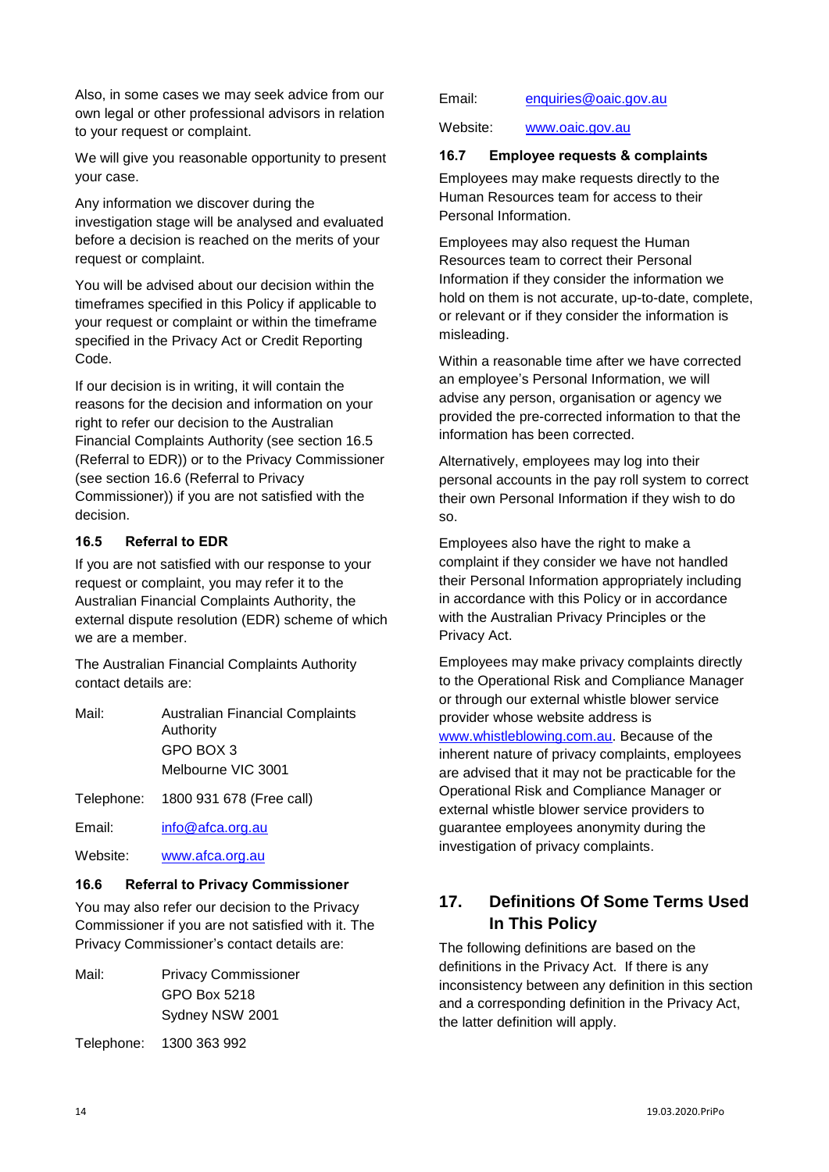Also, in some cases we may seek advice from our own legal or other professional advisors in relation to your request or complaint.

We will give you reasonable opportunity to present your case.

Any information we discover during the investigation stage will be analysed and evaluated before a decision is reached on the merits of your request or complaint.

You will be advised about our decision within the timeframes specified in this Policy if applicable to your request or complaint or within the timeframe specified in the Privacy Act or Credit Reporting Code.

If our decision is in writing, it will contain the reasons for the decision and information on your right to refer our decision to the Australian Financial Complaints Authority (see section 16.5 (Referral to EDR)) or to the Privacy Commissioner (see section 16.6 (Referral to Privacy Commissioner)) if you are not satisfied with the decision.

#### <span id="page-13-0"></span>**16.5 Referral to EDR**

If you are not satisfied with our response to your request or complaint, you may refer it to the Australian Financial Complaints Authority, the external dispute resolution (EDR) scheme of which we are a member.

The Australian Financial Complaints Authority contact details are:

- Mail: Australian Financial Complaints Authority GPO BOX 3 Melbourne VIC 3001
- Telephone: 1800 931 678 (Free call)

Email: [info@afca.org.au](mailto:info@afca.org.au)

Website: [www.afca.org.au](http://www.afca.org.au/)

#### <span id="page-13-1"></span>**16.6 Referral to Privacy Commissioner**

You may also refer our decision to the Privacy Commissioner if you are not satisfied with it. The Privacy Commissioner's contact details are:

Mail: Privacy Commissioner GPO Box 5218 Sydney NSW 2001

Telephone: 1300 363 992

Website: [www.oaic.gov.au](http://www.oaic.gov.au/)

#### <span id="page-13-2"></span>**16.7 Employee requests & complaints**

Employees may make requests directly to the Human Resources team for access to their Personal Information.

Employees may also request the Human Resources team to correct their Personal Information if they consider the information we hold on them is not accurate, up-to-date, complete, or relevant or if they consider the information is misleading.

Within a reasonable time after we have corrected an employee's Personal Information, we will advise any person, organisation or agency we provided the pre-corrected information to that the information has been corrected.

Alternatively, employees may log into their personal accounts in the pay roll system to correct their own Personal Information if they wish to do so.

Employees also have the right to make a complaint if they consider we have not handled their Personal Information appropriately including in accordance with this Policy or in accordance with the Australian Privacy Principles or the Privacy Act.

Employees may make privacy complaints directly to the Operational Risk and Compliance Manager or through our external whistle blower service provider whose website address is [www.whistleblowing.com.au.](http://www.whistleblowing.com.au/) Because of the inherent nature of privacy complaints, employees are advised that it may not be practicable for the Operational Risk and Compliance Manager or external whistle blower service providers to guarantee employees anonymity during the investigation of privacy complaints.

# <span id="page-13-3"></span>**17. Definitions Of Some Terms Used In This Policy**

<span id="page-13-4"></span>The following definitions are based on the definitions in the Privacy Act. If there is any inconsistency between any definition in this section and a corresponding definition in the Privacy Act, the latter definition will apply.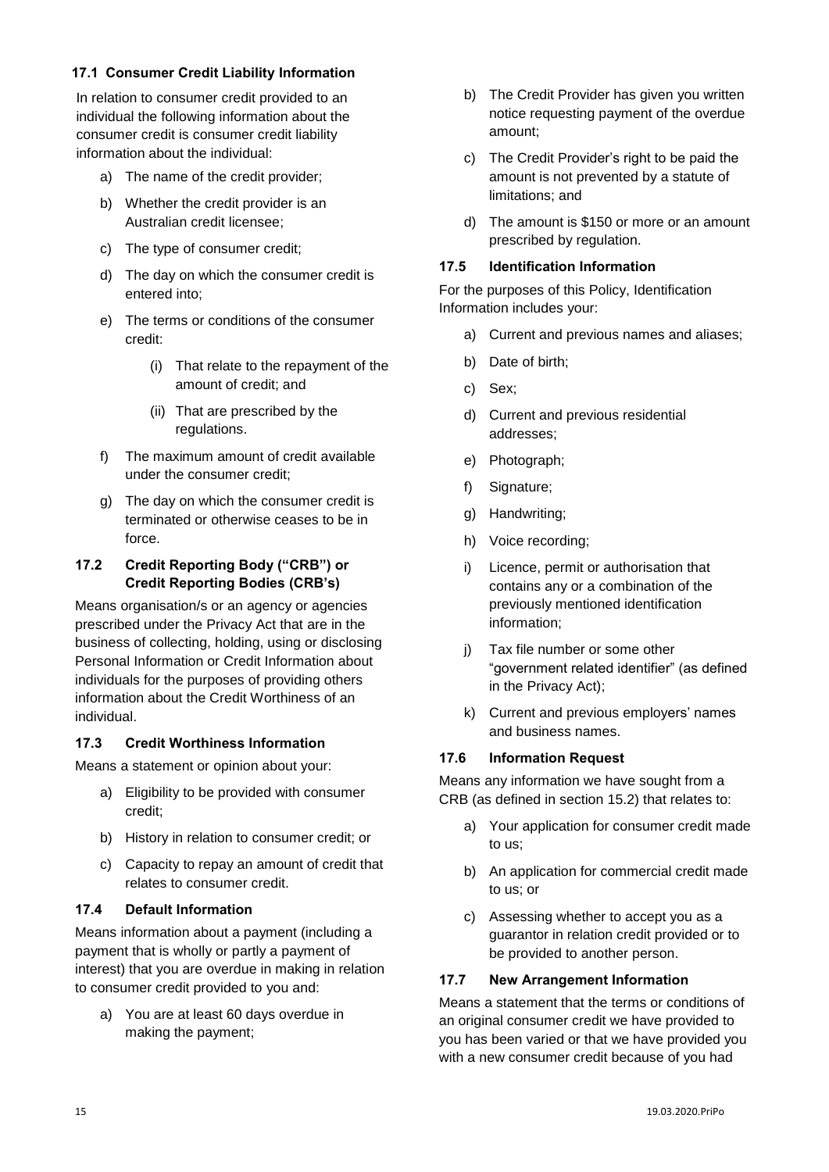#### **17.1 Consumer Credit Liability Information**

In relation to consumer credit provided to an individual the following information about the consumer credit is consumer credit liability information about the individual:

- a) The name of the credit provider;
- b) Whether the credit provider is an Australian credit licensee;
- c) The type of consumer credit;
- d) The day on which the consumer credit is entered into;
- e) The terms or conditions of the consumer credit:
	- (i) That relate to the repayment of the amount of credit; and
	- (ii) That are prescribed by the regulations.
- f) The maximum amount of credit available under the consumer credit;
- g) The day on which the consumer credit is terminated or otherwise ceases to be in force.

### <span id="page-14-0"></span>**17.2 Credit Reporting Body ("CRB") or Credit Reporting Bodies (CRB's)**

Means organisation/s or an agency or agencies prescribed under the Privacy Act that are in the business of collecting, holding, using or disclosing Personal Information or Credit Information about individuals for the purposes of providing others information about the Credit Worthiness of an individual.

# <span id="page-14-1"></span>**17.3 Credit Worthiness Information**

Means a statement or opinion about your:

- a) Eligibility to be provided with consumer credit;
- b) History in relation to consumer credit; or
- c) Capacity to repay an amount of credit that relates to consumer credit.

### <span id="page-14-2"></span>**17.4 Default Information**

Means information about a payment (including a payment that is wholly or partly a payment of interest) that you are overdue in making in relation to consumer credit provided to you and:

a) You are at least 60 days overdue in making the payment;

- b) The Credit Provider has given you written notice requesting payment of the overdue amount;
- c) The Credit Provider's right to be paid the amount is not prevented by a statute of limitations; and
- d) The amount is \$150 or more or an amount prescribed by regulation.

## <span id="page-14-3"></span>**17.5 Identification Information**

For the purposes of this Policy, Identification Information includes your:

- a) Current and previous names and aliases;
- b) Date of birth;
- c) Sex;
- d) Current and previous residential addresses;
- e) Photograph;
- f) Signature;
- g) Handwriting;
- h) Voice recording;
- i) Licence, permit or authorisation that contains any or a combination of the previously mentioned identification information;
- j) Tax file number or some other "government related identifier" (as defined in the Privacy Act);
- k) Current and previous employers' names and business names.

# <span id="page-14-4"></span>**17.6 Information Request**

Means any information we have sought from a CRB (as defined in section 15.2) that relates to:

- a) Your application for consumer credit made to us;
- b) An application for commercial credit made to us; or
- c) Assessing whether to accept you as a guarantor in relation credit provided or to be provided to another person.

# <span id="page-14-5"></span>**17.7 New Arrangement Information**

Means a statement that the terms or conditions of an original consumer credit we have provided to you has been varied or that we have provided you with a new consumer credit because of you had